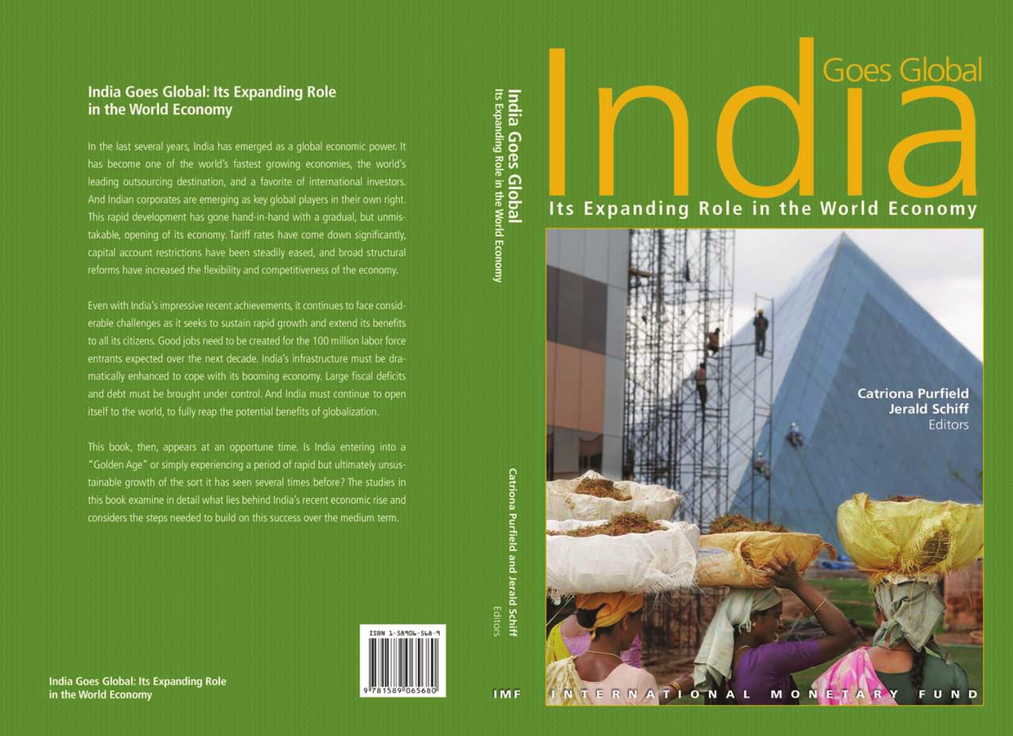# **Goes Global**

# Its Expanding Role in the World Economy

**Catriona Purfield Jerald Schiff** Editors

M O N E T INTERNATIO Ñ D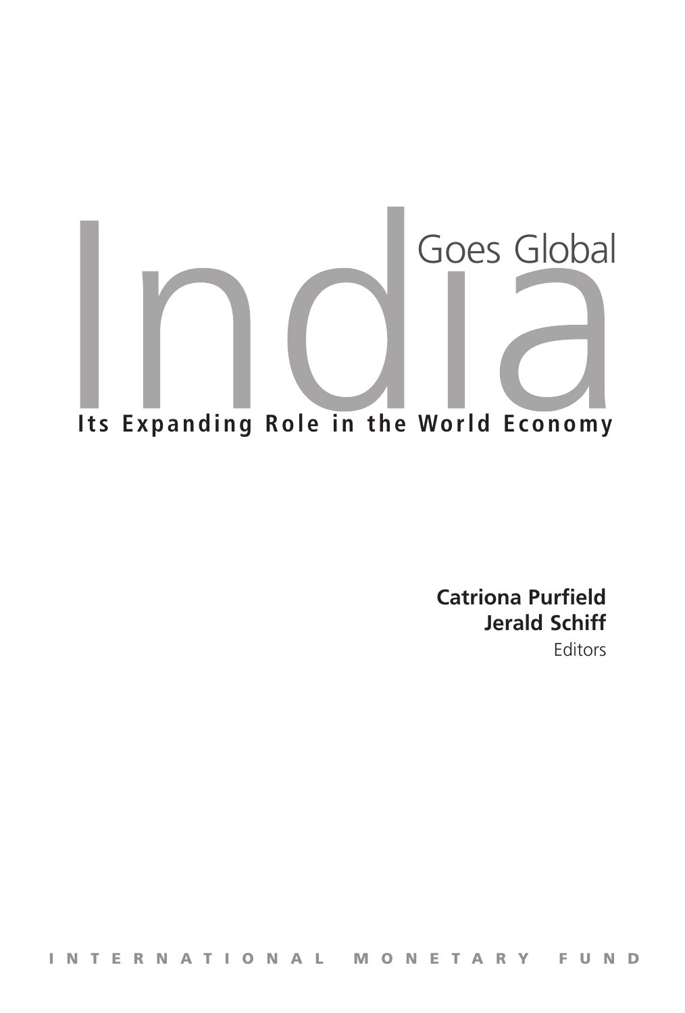# Goes Global Its Expanding Role in the World Economy

**Catriona Purfield Jerald Schiff**

Editors

I n t e r n a t i o n a l M o n e t a r y F u n d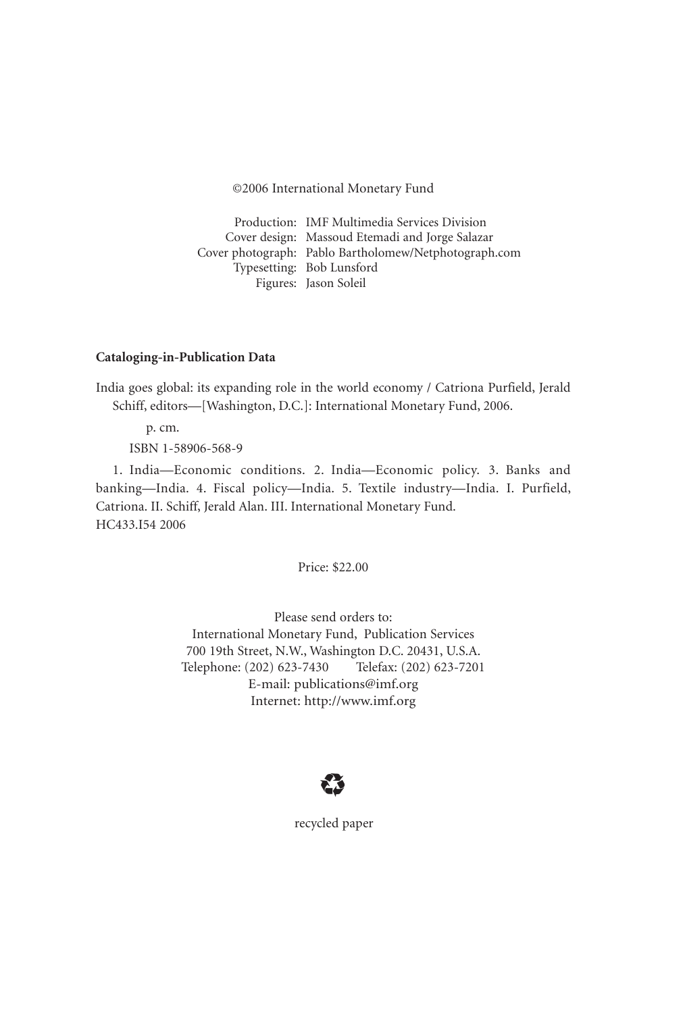©2006 International Monetary Fund

Production: IMF Multimedia Services Division Cover design: Massoud Etemadi and Jorge Salazar Cover photograph: Pablo Bartholomew/Netphotograph.com Typesetting: Bob Lunsford Figures: Jason Soleil

#### **Cataloging-in-Publication Data**

India goes global: its expanding role in the world economy / Catriona Purfield, Jerald Schiff, editors—[Washington, D.C.]: International Monetary Fund, 2006.

p. cm.

ISBN 1-58906-568-9

1. India—Economic conditions. 2. India—Economic policy. 3. Banks and banking—India. 4. Fiscal policy—India. 5. Textile industry—India. I. Purfield, Catriona. II. Schiff, Jerald Alan. III. International Monetary Fund. HC433.I54 2006

Price: \$22.00

Please send orders to: International Monetary Fund, Publication Services 700 19th Street, N.W., Washington D.C. 20431, U.S.A. Telephone: (202) 623-7430 Telefax: (202) 623-7201 E-mail: publications@imf.org Internet: http://www.imf.org



recycled paper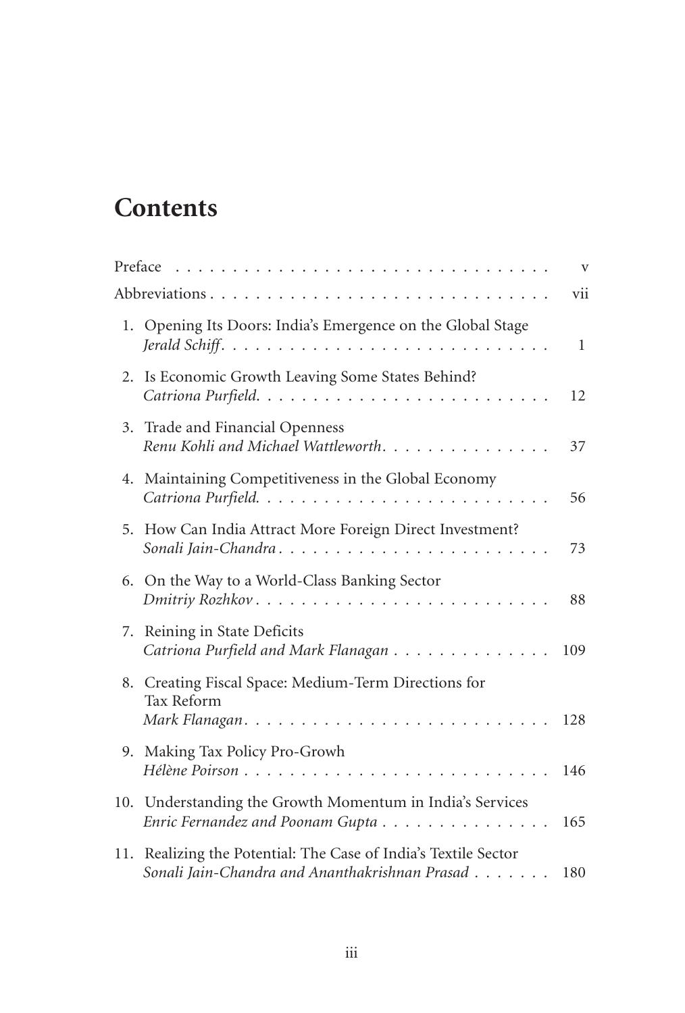# **Contents**

|    |                                                                                                                   | $\mathbf{V}$ |
|----|-------------------------------------------------------------------------------------------------------------------|--------------|
|    |                                                                                                                   | vii          |
|    | 1. Opening Its Doors: India's Emergence on the Global Stage                                                       | $\mathbf{1}$ |
|    | 2. Is Economic Growth Leaving Some States Behind?                                                                 | 12           |
|    | 3. Trade and Financial Openness<br>Renu Kohli and Michael Wattleworth.                                            | 37           |
|    | 4. Maintaining Competitiveness in the Global Economy                                                              | 56           |
|    | 5. How Can India Attract More Foreign Direct Investment?<br>Sonali Jain-Chandra                                   | 73           |
|    | 6. On the Way to a World-Class Banking Sector                                                                     | 88           |
| 7. | Reining in State Deficits<br>Catriona Purfield and Mark Flanagan                                                  | 109          |
|    | 8. Creating Fiscal Space: Medium-Term Directions for<br>Tax Reform                                                | 128          |
|    | 9. Making Tax Policy Pro-Growh                                                                                    | 146          |
|    | 10. Understanding the Growth Momentum in India's Services<br>Enric Fernandez and Poonam Gupta                     | 165          |
|    | 11. Realizing the Potential: The Case of India's Textile Sector<br>Sonali Jain-Chandra and Ananthakrishnan Prasad | 180          |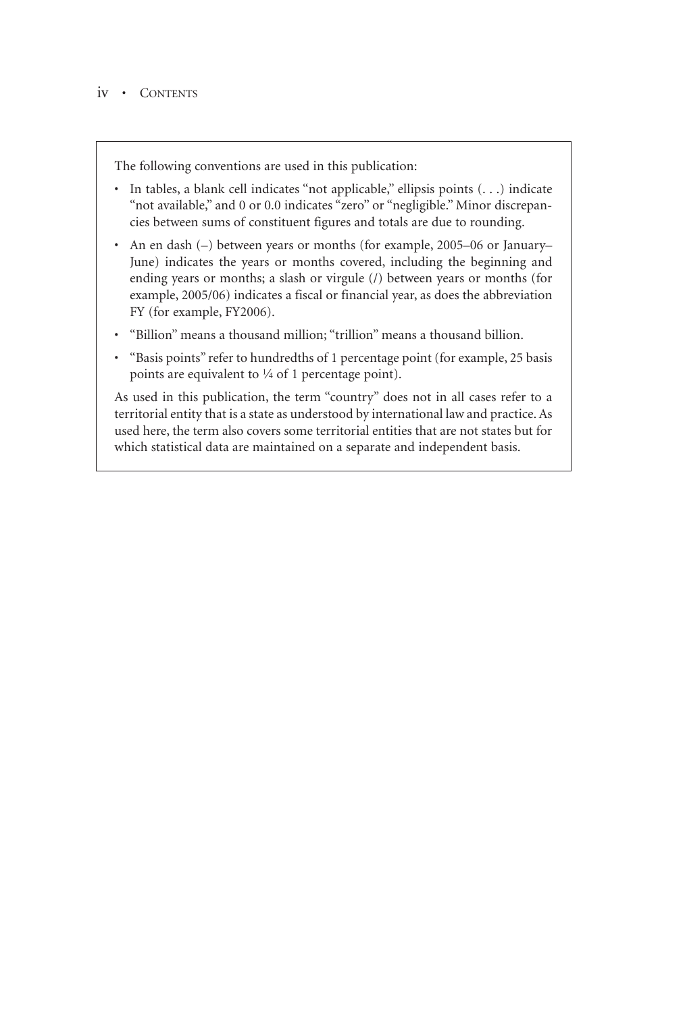The following conventions are used in this publication:

- In tables, a blank cell indicates "not applicable," ellipsis points (...) indicate "not available," and 0 or 0.0 indicates "zero" or "negligible." Minor discrepancies between sums of constituent figures and totals are due to rounding.-
- An en dash (-) between years or months (for example, 2005–06 or January– June) indicates the years or months covered, including the beginning and ending years or months; a slash or virgule (/) between years or months (for example, 2005/06) indicates a fiscal or financial year, as does the abbreviation FY (for example, FY2006).
- "Billion" means a thousand million; "trillion" means a thousand billion.
- "Basis points" refer to hundredths of 1 percentage point (for example, 25 basis points are equivalent to  $\frac{1}{4}$  of 1 percentage point).

As used in this publication, the term "country" does not in all cases refer to a territorial entity that is a state as understood by international law and practice. As used here, the term also covers some territorial entities that are not states but for which statistical data are maintained on a separate and independent basis.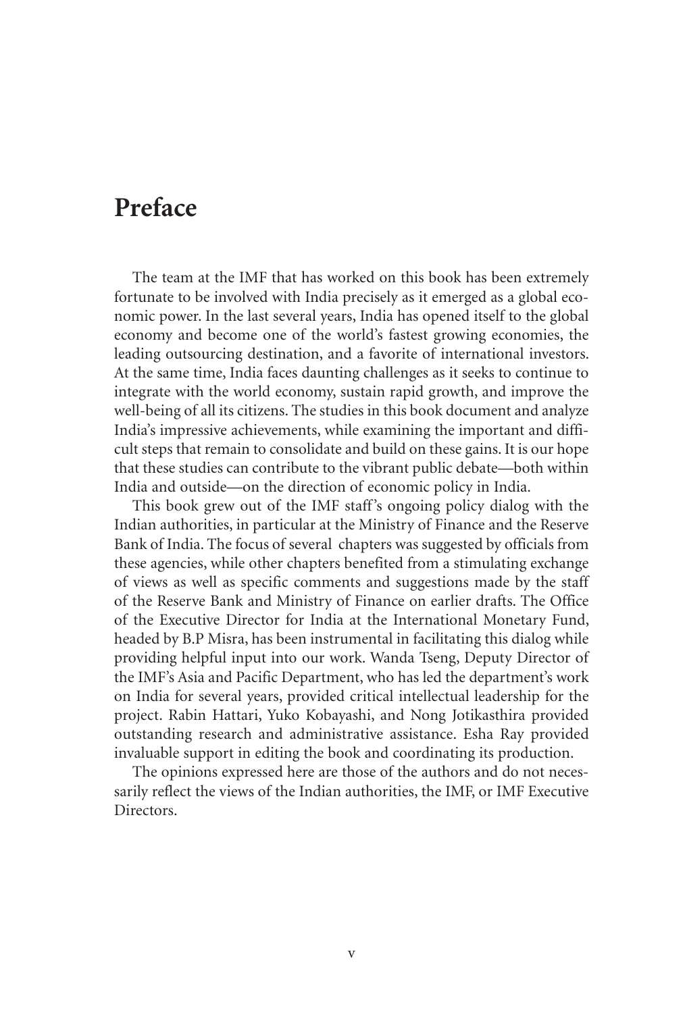# **Preface**

The team at the IMF that has worked on this book has been extremely fortunate to be involved with India precisely as it emerged as a global economic power. In the last several years, India has opened itself to the global economy and become one of the world's fastest growing economies, the leading outsourcing destination, and a favorite of international investors. At the same time, India faces daunting challenges as it seeks to continue to integrate with the world economy, sustain rapid growth, and improve the well-being of all its citizens. The studies in this book document and analyze India's impressive achievements, while examining the important and difficult steps that remain to consolidate and build on these gains. It is our hope that these studies can contribute to the vibrant public debate—both within India and outside—on the direction of economic policy in India.

This book grew out of the IMF staff's ongoing policy dialog with the Indian authorities, in particular at the Ministry of Finance and the Reserve Bank of India. The focus of several chapters was suggested by officials from these agencies, while other chapters benefited from a stimulating exchange of views as well as specific comments and suggestions made by the staff of the Reserve Bank and Ministry of Finance on earlier drafts. The Office of the Executive Director for India at the International Monetary Fund, headed by B.P Misra, has been instrumental in facilitating this dialog while providing helpful input into our work. Wanda Tseng, Deputy Director of the IMF's Asia and Pacific Department, who has led the department's work on India for several years, provided critical intellectual leadership for the project. Rabin Hattari, Yuko Kobayashi, and Nong Jotikasthira provided outstanding research and administrative assistance. Esha Ray provided invaluable support in editing the book and coordinating its production.

The opinions expressed here are those of the authors and do not necessarily reflect the views of the Indian authorities, the IMF, or IMF Executive Directors.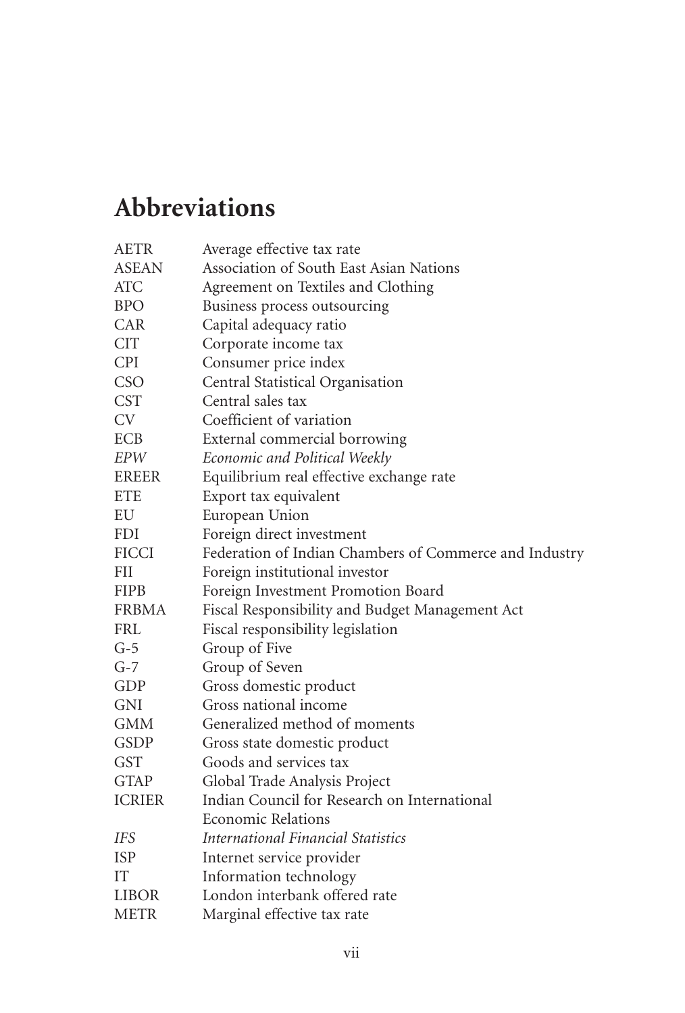# **Abbreviations**

| Average effective tax rate                             |
|--------------------------------------------------------|
| Association of South East Asian Nations                |
| Agreement on Textiles and Clothing                     |
| Business process outsourcing                           |
| Capital adequacy ratio                                 |
| Corporate income tax                                   |
| Consumer price index                                   |
| Central Statistical Organisation                       |
| Central sales tax                                      |
| Coefficient of variation                               |
| External commercial borrowing                          |
| Economic and Political Weekly                          |
| Equilibrium real effective exchange rate               |
| Export tax equivalent                                  |
| European Union                                         |
| Foreign direct investment                              |
| Federation of Indian Chambers of Commerce and Industry |
| Foreign institutional investor                         |
| Foreign Investment Promotion Board                     |
| Fiscal Responsibility and Budget Management Act        |
| Fiscal responsibility legislation                      |
| Group of Five                                          |
| Group of Seven                                         |
| Gross domestic product                                 |
| Gross national income                                  |
| Generalized method of moments                          |
| Gross state domestic product                           |
| Goods and services tax                                 |
| Global Trade Analysis Project                          |
| Indian Council for Research on International           |
| <b>Economic Relations</b>                              |
| International Financial Statistics                     |
| Internet service provider                              |
| Information technology                                 |
| London interbank offered rate                          |
| Marginal effective tax rate                            |
|                                                        |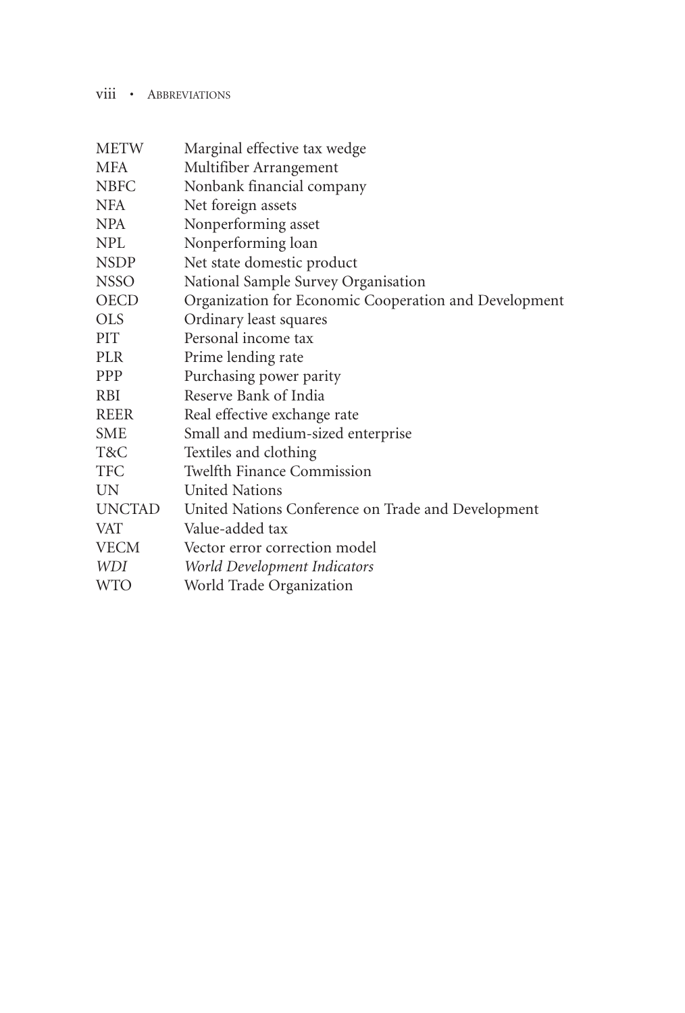# viii • ABBREVIATIONS

| <b>METW</b>      | Marginal effective tax wedge                          |
|------------------|-------------------------------------------------------|
| <b>MFA</b>       | Multifiber Arrangement                                |
| <b>NBFC</b>      | Nonbank financial company                             |
| <b>NFA</b>       | Net foreign assets                                    |
| <b>NPA</b>       | Nonperforming asset                                   |
| NPL              | Nonperforming loan                                    |
| <b>NSDP</b>      | Net state domestic product                            |
| <b>NSSO</b>      | National Sample Survey Organisation                   |
| <b>OECD</b>      | Organization for Economic Cooperation and Development |
| <b>OLS</b>       | Ordinary least squares                                |
| PIT <sup>1</sup> | Personal income tax                                   |
| PLR.             | Prime lending rate                                    |
| <b>PPP</b>       | Purchasing power parity                               |
| <b>RBI</b>       | Reserve Bank of India                                 |
| REER             | Real effective exchange rate                          |
| <b>SME</b>       | Small and medium-sized enterprise                     |
| T&C              | Textiles and clothing                                 |
| <b>TFC</b>       | <b>Twelfth Finance Commission</b>                     |
| UN               | <b>United Nations</b>                                 |
| <b>UNCTAD</b>    | United Nations Conference on Trade and Development    |
| <b>VAT</b>       | Value-added tax                                       |
| <b>VECM</b>      | Vector error correction model                         |
| <i>WDI</i>       | World Development Indicators                          |
| <b>WTO</b>       | World Trade Organization                              |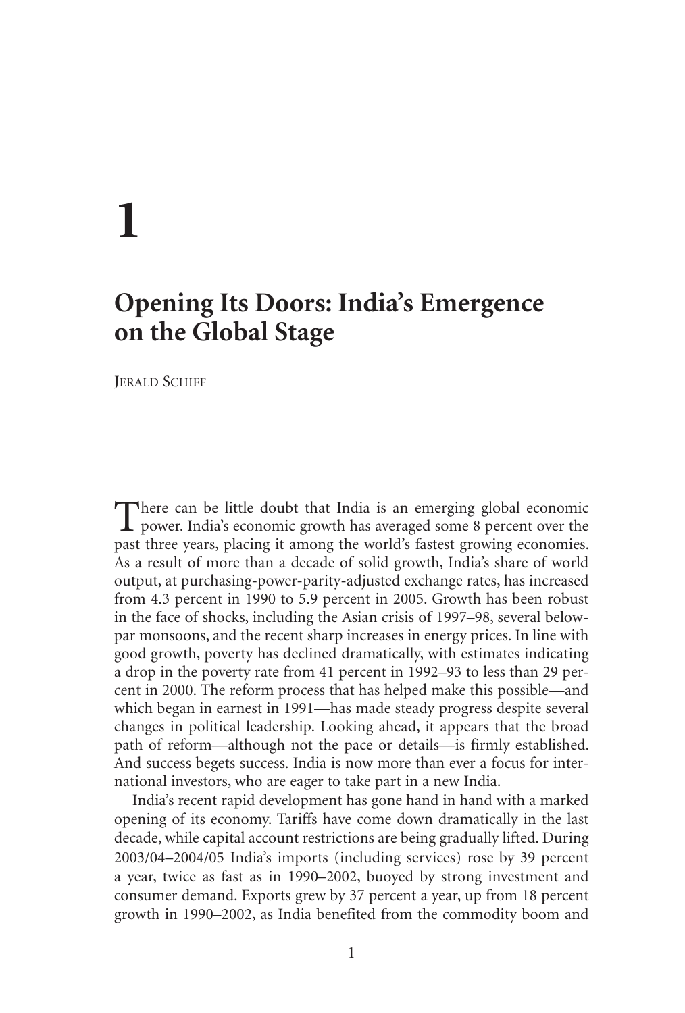# **1**

# **Opening Its Doors: India's Emergence on the Global Stage**

Jerald Schiff

There can be little doubt that India is an emerging global economic  $\perp$  power. India's economic growth has averaged some 8 percent over the past three years, placing it among the world's fastest growing economies. As a result of more than a decade of solid growth, India's share of world output, at purchasing-power-parity-adjusted exchange rates, has increased from 4.3 percent in 1990 to 5.9 percent in 2005. Growth has been robust in the face of shocks, including the Asian crisis of 1997–98, several belowpar monsoons, and the recent sharp increases in energy prices. In line with good growth, poverty has declined dramatically, with estimates indicating a drop in the poverty rate from 41 percent in 1992–93 to less than 29 percent in 2000. The reform process that has helped make this possible—and which began in earnest in 1991—has made steady progress despite several changes in political leadership. Looking ahead, it appears that the broad path of reform—although not the pace or details—is firmly established. And success begets success. India is now more than ever a focus for international investors, who are eager to take part in a new India.-

India's recent rapid development has gone hand in hand with a marked opening of its economy. Tariffs have come down dramatically in the last decade, while capital account restrictions are being gradually lifted. During 2003/04–2004/05 India's imports (including services) rose by 39 percent a year, twice as fast as in 1990–2002, buoyed by strong investment and consumer demand. Exports grew by 37 percent a year, up from 18 percent growth in 1990–2002, as India benefited from the commodity boom and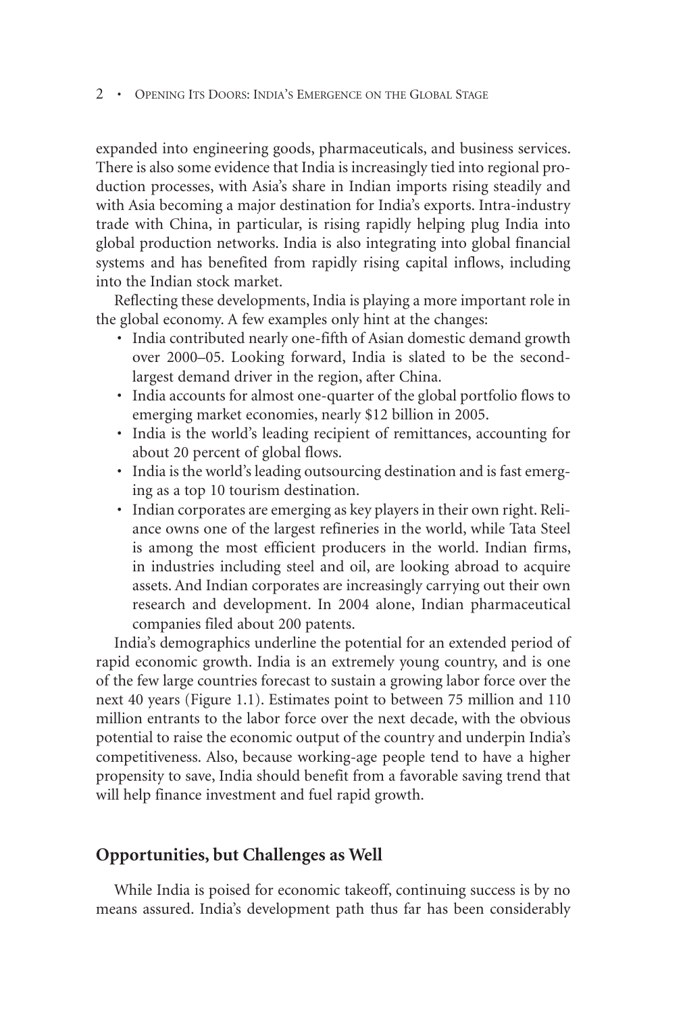#### • Opening Its Doors: India's Emergence on the Global Stage

expanded into engineering goods, pharmaceuticals, and business services. There is also some evidence that India is increasingly tied into regional production processes, with Asia's share in Indian imports rising steadily and with Asia becoming a major destination for India's exports. Intra-industry trade with China, in particular, is rising rapidly helping plug India into global production networks. India is also integrating into global financial systems and has benefited from rapidly rising capital inflows, including into the Indian stock market.

Reflecting these developments, India is playing a more important role in the global economy. A few examples only hint at the changes:

- India contributed nearly one-fifth of Asian domestic demand growth over 2000–05. Looking forward, India is slated to be the secondlargest demand driver in the region, after China.
- India accounts for almost one-quarter of the global portfolio flows to emerging market economies, nearly \$12 billion in 2005.-
- India is the world's leading recipient of remittances, accounting for about 20 percent of global flows.
- India is the world's leading outsourcing destination and is fast emerging as a top 10 tourism destination.-
- Indian corporates are emerging as key players in their own right. Reliance owns one of the largest refineries in the world, while Tata Steel is among the most efficient producers in the world. Indian firms, in industries including steel and oil, are looking abroad to acquire assets. And Indian corporates are increasingly carrying out their own research and development. In 2004 alone, Indian pharmaceutical companies filed about 200 patents.

India's demographics underline the potential for an extended period of rapid economic growth. India is an extremely young country, and is one of the few large countries forecast to sustain a growing labor force over the next 40 years (Figure 1.1). Estimates point to between 75 million and 110 million entrants to the labor force over the next decade, with the obvious potential to raise the economic output of the country and underpin India's competitiveness. Also, because working-age people tend to have a higher propensity to save, India should benefit from a favorable saving trend that will help finance investment and fuel rapid growth.

#### **Opportunities, but Challenges as Well**

While India is poised for economic takeoff, continuing success is by no means assured. India's development path thus far has been considerably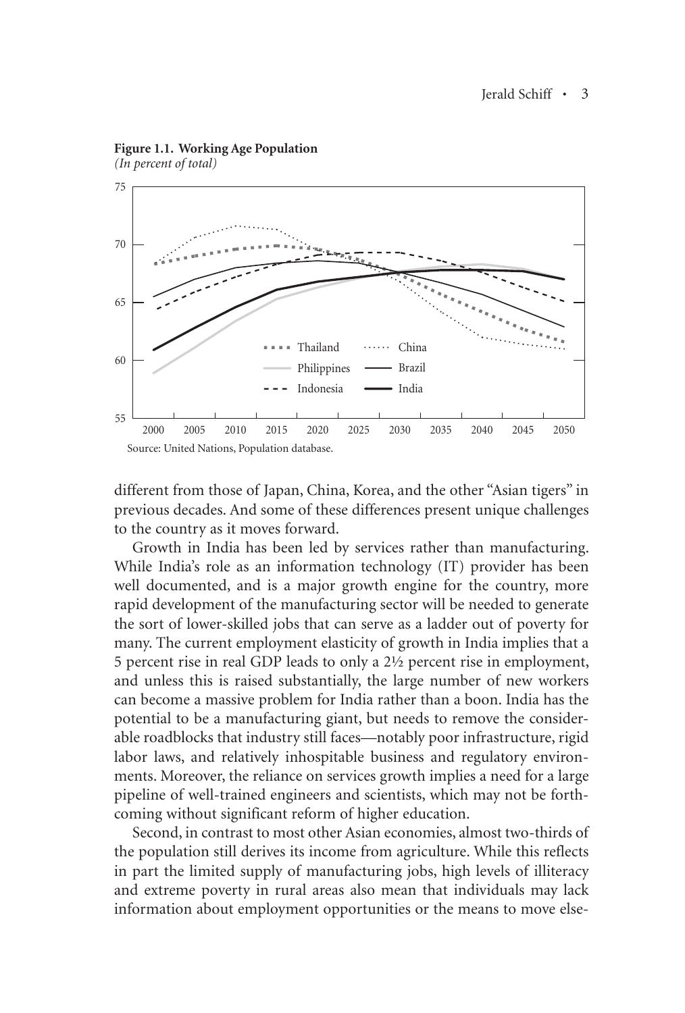

**Figure 1.1. Working Age Population** *(In percent of total)*

different from those of Japan, China, Korea, and the other "Asian tigers" in previous decades. And some of these differences present unique challenges to the country as it moves forward.

Growth in India has been led by services rather than manufacturing. While India's role as an information technology (IT) provider has been well documented, and is a major growth engine for the country, more rapid development of the manufacturing sector will be needed to generate the sort of lower-skilled jobs that can serve as a ladder out of poverty for many. The current employment elasticity of growth in India implies that a 5 percent rise in real GDP leads to only a 2½ percent rise in employment, and unless this is raised substantially, the large number of new workers can become a massive problem for India rather than a boon. India has the potential to be a manufacturing giant, but needs to remove the considerable roadblocks that industry still faces—notably poor infrastructure, rigid labor laws, and relatively inhospitable business and regulatory environments. Moreover, the reliance on services growth implies a need for a large pipeline of well-trained engineers and scientists, which may not be forthcoming without significant reform of higher education.-

Second, in contrast to most other Asian economies, almost two-thirds of the population still derives its income from agriculture. While this reflects in part the limited supply of manufacturing jobs, high levels of illiteracy and extreme poverty in rural areas also mean that individuals may lack information about employment opportunities or the means to move else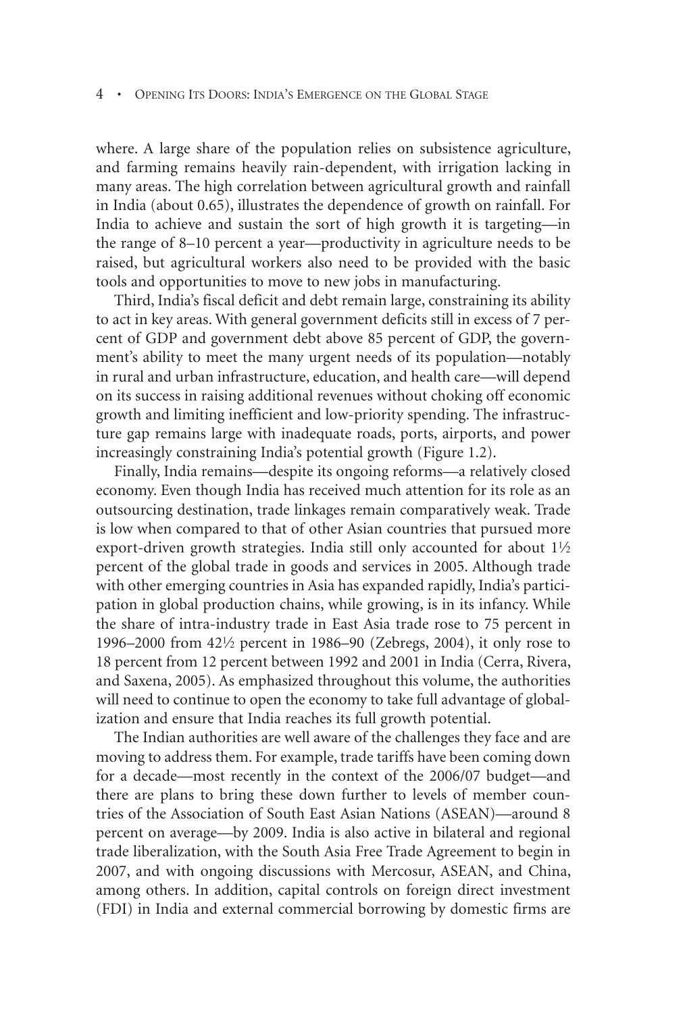where. A large share of the population relies on subsistence agriculture, and farming remains heavily rain-dependent, with irrigation lacking in many areas. The high correlation between agricultural growth and rainfall in India (about 0.65), illustrates the dependence of growth on rainfall. For India to achieve and sustain the sort of high growth it is targeting—in the range of 8–10 percent a year—productivity in agriculture needs to be raised, but agricultural workers also need to be provided with the basic tools and opportunities to move to new jobs in manufacturing.-

Third, India's fiscal deficit and debt remain large, constraining its ability to act in key areas. With general government deficits still in excess of 7 percent of GDP and government debt above 85 percent of GDP, the government's ability to meet the many urgent needs of its population—notably in rural and urban infrastructure, education, and health care—will depend on its success in raising additional revenues without choking off economic growth and limiting inefficient and low-priority spending. The infrastructure gap remains large with inadequate roads, ports, airports, and power increasingly constraining India's potential growth (Figure 1.2).

Finally, India remains—despite its ongoing reforms—a relatively closed economy. Even though India has received much attention for its role as an outsourcing destination, trade linkages remain comparatively weak. Trade is low when compared to that of other Asian countries that pursued more export-driven growth strategies. India still only accounted for about  $1\frac{1}{2}$ percent of the global trade in goods and services in 2005. Although trade with other emerging countries in Asia has expanded rapidly, India's participation in global production chains, while growing, is in its infancy. While the share of intra-industry trade in East Asia trade rose to 75 percent in 1996–2000 from 42!/2 percent in 1986–90 (Zebregs, 2004), it only rose to 18 percent from 12 percent between 1992 and 2001 in India (Cerra, Rivera, and Saxena, 2005). As emphasized throughout this volume, the authorities will need to continue to open the economy to take full advantage of globalization and ensure that India reaches its full growth potential.

The Indian authorities are well aware of the challenges they face and are moving to address them. For example, trade tariffs have been coming down for a decade—most recently in the context of the 2006/07 budget—and there are plans to bring these down further to levels of member countries of the Association of South East Asian Nations (ASEAN)—around 8 percent on average—by 2009. India is also active in bilateral and regional trade liberalization, with the South Asia Free Trade Agreement to begin in 2007, and with ongoing discussions with Mercosur, ASEAN, and China, among others. In addition, capital controls on foreign direct investment (FDI) in India and external commercial borrowing by domestic firms are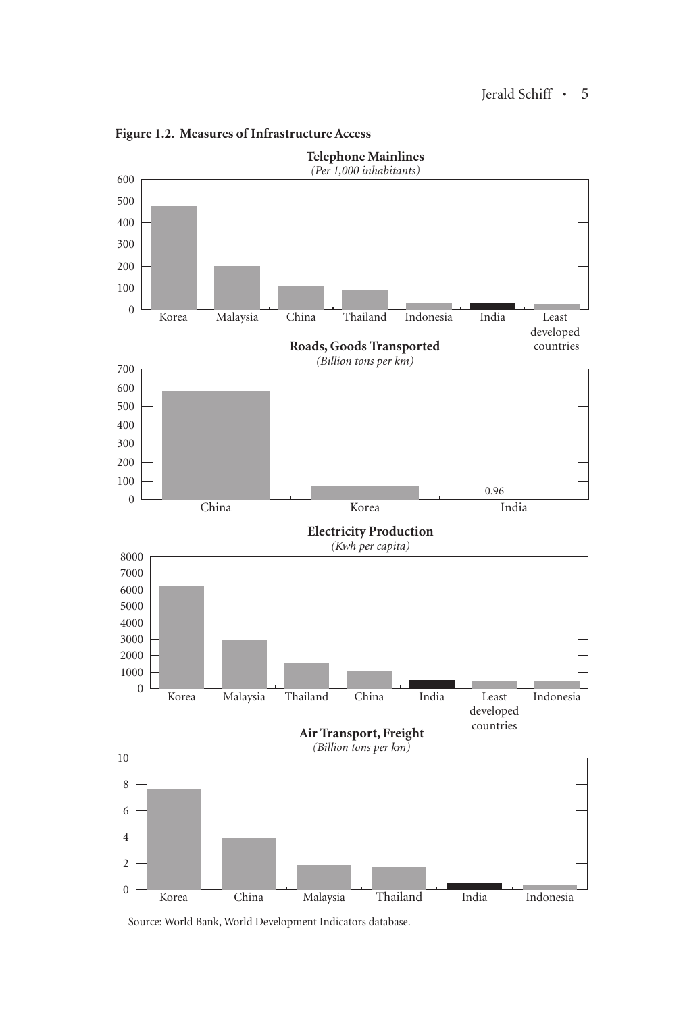

**Figure 1.2. Measures of Infrastructure Access**

Source: World Bank, World Development Indicators database.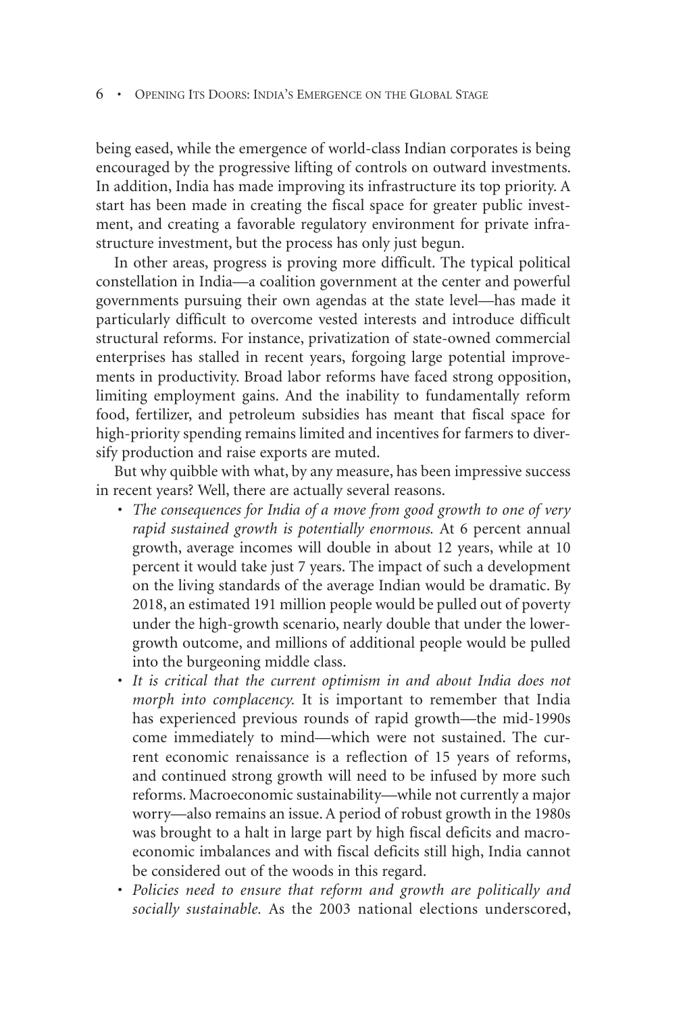being eased, while the emergence of world-class Indian corporates is being encouraged by the progressive lifting of controls on outward investments. In addition, India has made improving its infrastructure its top priority. A start has been made in creating the fiscal space for greater public investment, and creating a favorable regulatory environment for private infrastructure investment, but the process has only just begun.

In other areas, progress is proving more difficult. The typical political constellation in India—a coalition government at the center and powerful governments pursuing their own agendas at the state level—has made it particularly difficult to overcome vested interests and introduce difficult structural reforms. For instance, privatization of state-owned commercial enterprises has stalled in recent years, forgoing large potential improvements in productivity. Broad labor reforms have faced strong opposition, limiting employment gains. And the inability to fundamentally reform food, fertilizer, and petroleum subsidies has meant that fiscal space for high-priority spending remains limited and incentives for farmers to diversify production and raise exports are muted.

But why quibble with what, by any measure, has been impressive success in recent years? Well, there are actually several reasons.

- The consequences for India of a move from good growth to one of very *rapid sustained growth is potentially enormous.* At 6 percent annual growth, average incomes will double in about 12 years, while at 10 percent it would take just 7 years. The impact of such a development on the living standards of the average Indian would be dramatic. By 2018, an estimated 191 million people would be pulled out of poverty under the high-growth scenario, nearly double that under the lowergrowth outcome, and millions of additional people would be pulled into the burgeoning middle class.
- It is critical that the current optimism in and about India does not *morph into complacency.* It is important to remember that India has experienced previous rounds of rapid growth—the mid-1990s come immediately to mind—which were not sustained. The current economic renaissance is a reflection of 15 years of reforms, and continued strong growth will need to be infused by more such reforms. Macroeconomic sustainability—while not currently a major worry—also remains an issue. A period of robust growth in the 1980s was brought to a halt in large part by high fiscal deficits and macroeconomic imbalances and with fiscal deficits still high, India cannot be considered out of the woods in this regard.
- Policies need to ensure that reform and growth are politically and *socially sustainable.* As the 2003 national elections underscored,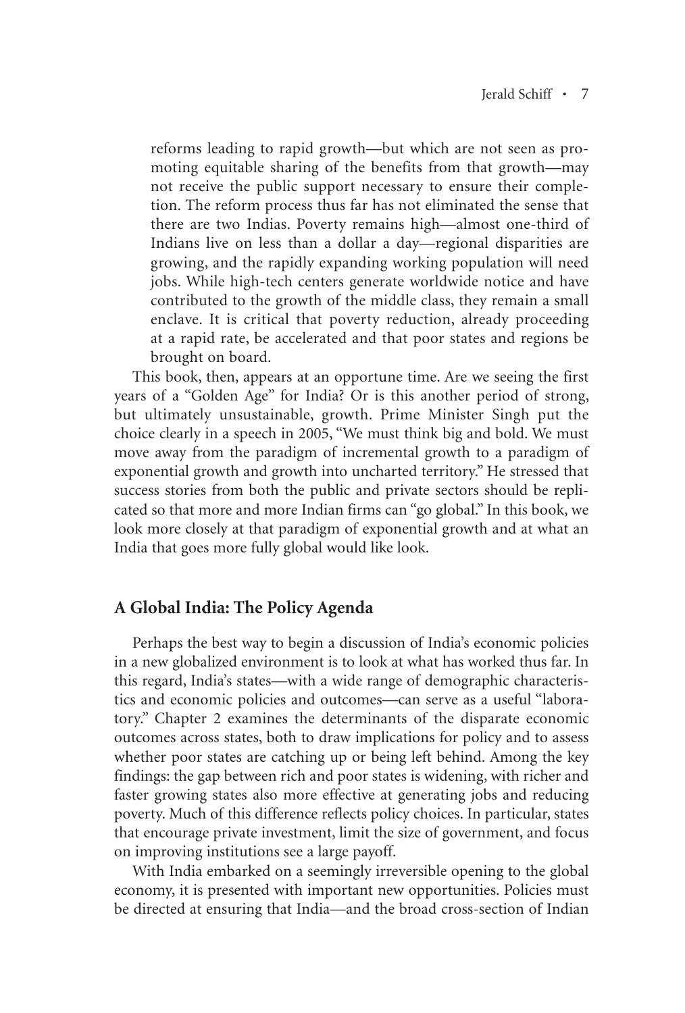reforms leading to rapid growth—but which are not seen as promoting equitable sharing of the benefits from that growth—may not receive the public support necessary to ensure their completion. The reform process thus far has not eliminated the sense that there are two Indias. Poverty remains high—almost one-third of Indians live on less than a dollar a day—regional disparities are growing, and the rapidly expanding working population will need jobs. While high-tech centers generate worldwide notice and have contributed to the growth of the middle class, they remain a small enclave. It is critical that poverty reduction, already proceeding at a rapid rate, be accelerated and that poor states and regions be brought on board.-

This book, then, appears at an opportune time. Are we seeing the first years of a "Golden Age" for India? Or is this another period of strong, but ultimately unsustainable, growth. Prime Minister Singh put the choice clearly in a speech in 2005, "We must think big and bold. We must move away from the paradigm of incremental growth to a paradigm of exponential growth and growth into uncharted territory." He stressed that success stories from both the public and private sectors should be replicated so that more and more Indian firms can "go global." In this book, we look more closely at that paradigm of exponential growth and at what an India that goes more fully global would like look.-

## **A Global India: The Policy Agenda**

Perhaps the best way to begin a discussion of India's economic policies in a new globalized environment is to look at what has worked thus far. In this regard, India's states—with a wide range of demographic characteristics and economic policies and outcomes—can serve as a useful "laboratory." Chapter 2 examines the determinants of the disparate economic outcomes across states, both to draw implications for policy and to assess whether poor states are catching up or being left behind. Among the key findings: the gap between rich and poor states is widening, with richer and faster growing states also more effective at generating jobs and reducing poverty. Much of this difference reflects policy choices. In particular, states that encourage private investment, limit the size of government, and focus on improving institutions see a large payoff.-

With India embarked on a seemingly irreversible opening to the global economy, it is presented with important new opportunities. Policies must be directed at ensuring that India—and the broad cross-section of Indian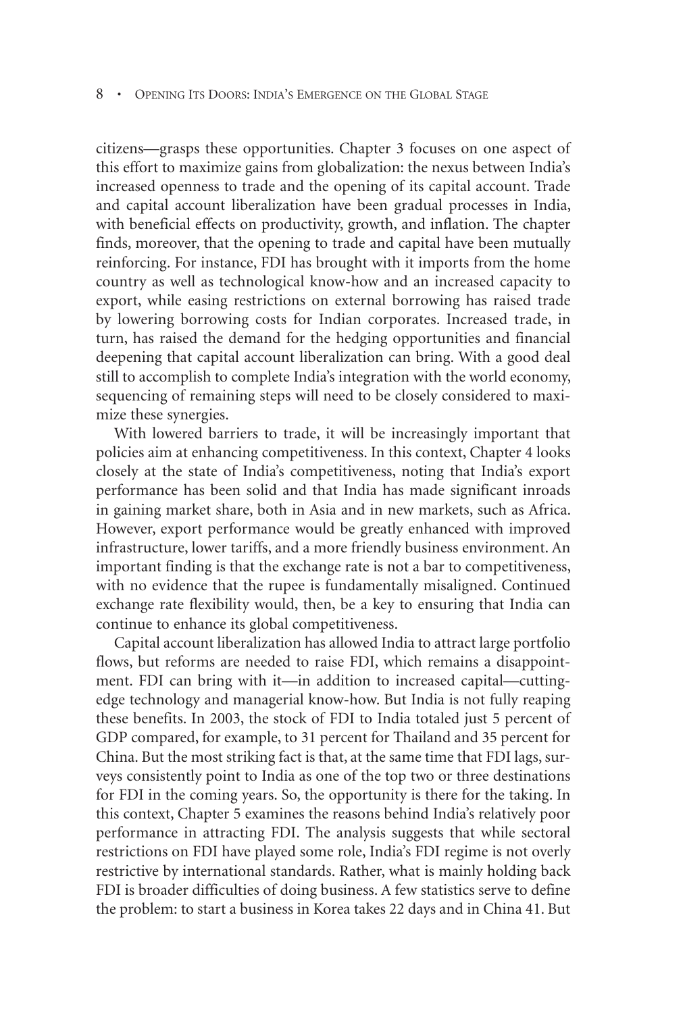#### • Opening Its Doors: India's Emergence on the Global Stage

citizens—grasps these opportunities. Chapter 3 focuses on one aspect of this effort to maximize gains from globalization: the nexus between India's increased openness to trade and the opening of its capital account. Trade and capital account liberalization have been gradual processes in India, with beneficial effects on productivity, growth, and inflation. The chapter finds, moreover, that the opening to trade and capital have been mutually reinforcing. For instance, FDI has brought with it imports from the home country as well as technological know-how and an increased capacity to export, while easing restrictions on external borrowing has raised trade by lowering borrowing costs for Indian corporates. Increased trade, in turn, has raised the demand for the hedging opportunities and financial deepening that capital account liberalization can bring. With a good deal still to accomplish to complete India's integration with the world economy, sequencing of remaining steps will need to be closely considered to maximize these synergies.

With lowered barriers to trade, it will be increasingly important that policies aim at enhancing competitiveness. In this context, Chapter 4 looks closely at the state of India's competitiveness, noting that India's export performance has been solid and that India has made significant inroads in gaining market share, both in Asia and in new markets, such as Africa. However, export performance would be greatly enhanced with improved infrastructure, lower tariffs, and a more friendly business environment. An important finding is that the exchange rate is not a bar to competitiveness, with no evidence that the rupee is fundamentally misaligned. Continued exchange rate flexibility would, then, be a key to ensuring that India can continue to enhance its global competitiveness.

Capital account liberalization has allowed India to attract large portfolio flows, but reforms are needed to raise FDI, which remains a disappointment. FDI can bring with it—in addition to increased capital—cuttingedge technology and managerial know-how. But India is not fully reaping these benefits. In 2003, the stock of FDI to India totaled just 5 percent of GDP compared, for example, to 31 percent for Thailand and 35 percent for China. But the most striking fact is that, at the same time that FDI lags, surveys consistently point to India as one of the top two or three destinations for FDI in the coming years. So, the opportunity is there for the taking. In this context, Chapter 5 examines the reasons behind India's relatively poor performance in attracting FDI. The analysis suggests that while sectoral restrictions on FDI have played some role, India's FDI regime is not overly restrictive by international standards. Rather, what is mainly holding back FDI is broader difficulties of doing business. A few statistics serve to define the problem: to start a business in Korea takes 22 days and in China 41. But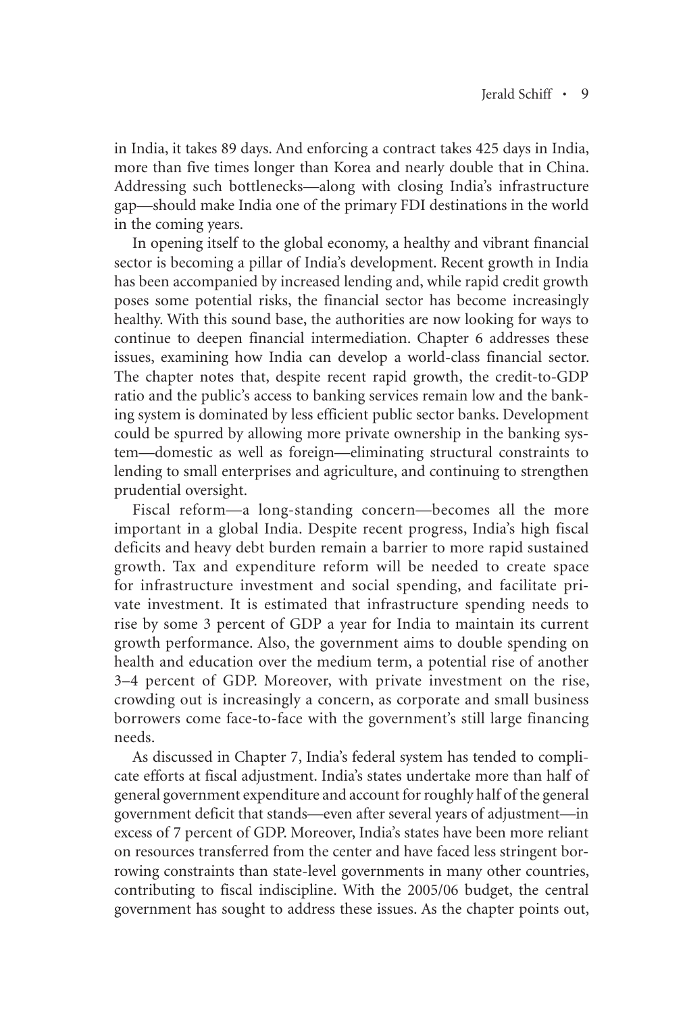in India, it takes 89 days. And enforcing a contract takes 425 days in India, more than five times longer than Korea and nearly double that in China. Addressing such bottlenecks—along with closing India's infrastructure gap—should make India one of the primary FDI destinations in the world in the coming years.

In opening itself to the global economy, a healthy and vibrant financial sector is becoming a pillar of India's development. Recent growth in India has been accompanied by increased lending and, while rapid credit growth poses some potential risks, the financial sector has become increasingly healthy. With this sound base, the authorities are now looking for ways to continue to deepen financial intermediation. Chapter 6 addresses these issues, examining how India can develop a world-class financial sector. The chapter notes that, despite recent rapid growth, the credit-to-GDP ratio and the public's access to banking services remain low and the banking system is dominated by less efficient public sector banks. Development could be spurred by allowing more private ownership in the banking system—domestic as well as foreign—eliminating structural constraints to lending to small enterprises and agriculture, and continuing to strengthen prudential oversight.-

Fiscal reform—a long-standing concern—becomes all the more important in a global India. Despite recent progress, India's high fiscal deficits and heavy debt burden remain a barrier to more rapid sustained growth. Tax and expenditure reform will be needed to create space for infrastructure investment and social spending, and facilitate private investment. It is estimated that infrastructure spending needs to rise by some 3 percent of GDP a year for India to maintain its current growth performance. Also, the government aims to double spending on health and education over the medium term, a potential rise of another 3–4 percent of GDP. Moreover, with private investment on the rise, crowding out is increasingly a concern, as corporate and small business borrowers come face-to-face with the government's still large financing needs.-

As discussed in Chapter 7, India's federal system has tended to complicate efforts at fiscal adjustment. India's states undertake more than half of general government expenditure and account for roughly half of the general government deficit that stands—even after several years of adjustment—in excess of 7 percent of GDP. Moreover, India's states have been more reliant on resources transferred from the center and have faced less stringent borrowing constraints than state-level governments in many other countries, contributing to fiscal indiscipline. With the 2005/06 budget, the central government has sought to address these issues. As the chapter points out,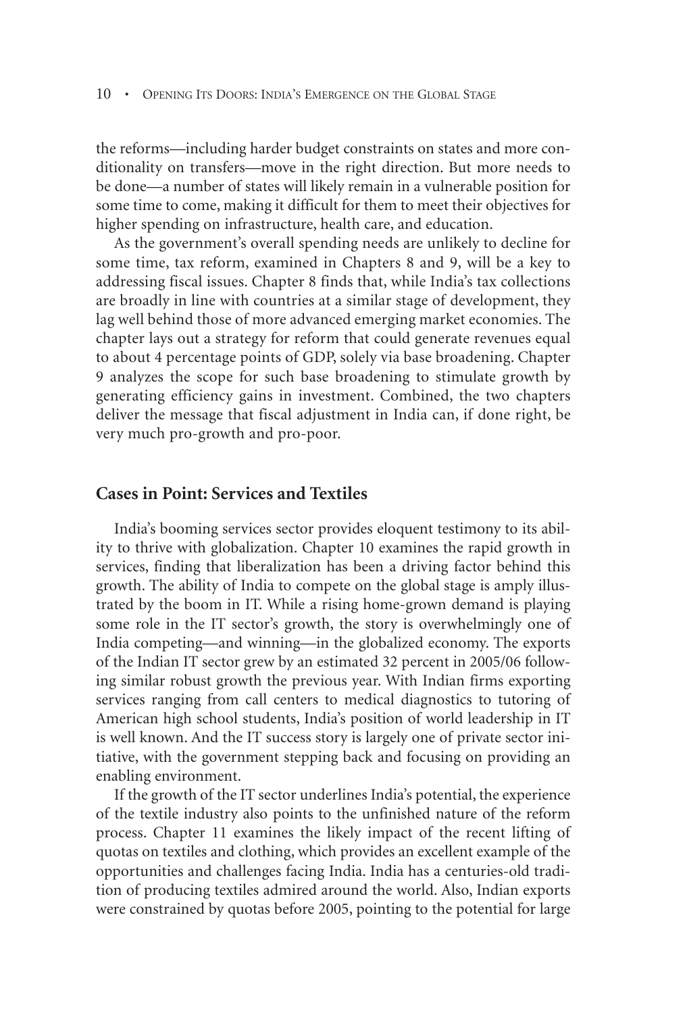the reforms—including harder budget constraints on states and more conditionality on transfers—move in the right direction. But more needs to be done—a number of states will likely remain in a vulnerable position for some time to come, making it difficult for them to meet their objectives for higher spending on infrastructure, health care, and education.

As the government's overall spending needs are unlikely to decline for some time, tax reform, examined in Chapters 8 and 9, will be a key to addressing fiscal issues. Chapter 8 finds that, while India's tax collections are broadly in line with countries at a similar stage of development, they lag well behind those of more advanced emerging market economies. The chapter lays out a strategy for reform that could generate revenues equal to about 4 percentage points of GDP, solely via base broadening. Chapter 9 analyzes the scope for such base broadening to stimulate growth by generating efficiency gains in investment. Combined, the two chapters deliver the message that fiscal adjustment in India can, if done right, be very much pro-growth and pro-poor.

#### **Cases in Point: Services and Textiles**

India's booming services sector provides eloquent testimony to its ability to thrive with globalization. Chapter 10 examines the rapid growth in services, finding that liberalization has been a driving factor behind this growth. The ability of India to compete on the global stage is amply illustrated by the boom in IT. While a rising home-grown demand is playing some role in the IT sector's growth, the story is overwhelmingly one of India competing—and winning—in the globalized economy. The exports of the Indian IT sector grew by an estimated 32 percent in 2005/06 following similar robust growth the previous year. With Indian firms exporting services ranging from call centers to medical diagnostics to tutoring of American high school students, India's position of world leadership in IT is well known. And the IT success story is largely one of private sector initiative, with the government stepping back and focusing on providing an enabling environment.

If the growth of the IT sector underlines India's potential, the experience of the textile industry also points to the unfinished nature of the reform process. Chapter 11 examines the likely impact of the recent lifting of quotas on textiles and clothing, which provides an excellent example of the opportunities and challenges facing India. India has a centuries-old tradition of producing textiles admired around the world. Also, Indian exports were constrained by quotas before 2005, pointing to the potential for large